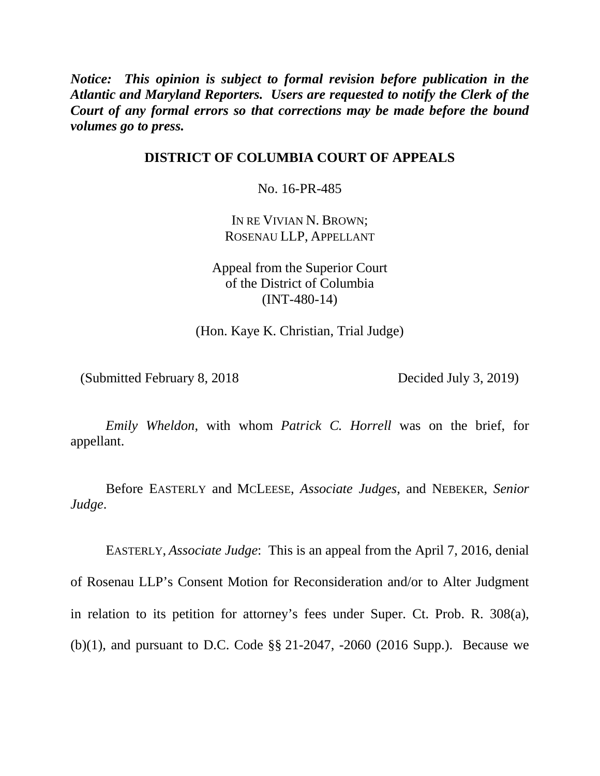*Notice: This opinion is subject to formal revision before publication in the Atlantic and Maryland Reporters. Users are requested to notify the Clerk of the Court of any formal errors so that corrections may be made before the bound volumes go to press.*

## **DISTRICT OF COLUMBIA COURT OF APPEALS**

No. 16-PR-485

IN RE VIVIAN N. BROWN; ROSENAU LLP, APPELLANT

Appeal from the Superior Court of the District of Columbia (INT-480-14)

(Hon. Kaye K. Christian, Trial Judge)

(Submitted February 8, 2018 Decided July 3, 2019)

*Emily Wheldon*, with whom *Patrick C. Horrell* was on the brief, for appellant.

Before EASTERLY and MCLEESE, *Associate Judges*, and NEBEKER, *Senior Judge*.

EASTERLY, *Associate Judge*: This is an appeal from the April 7, 2016, denial of Rosenau LLP's Consent Motion for Reconsideration and/or to Alter Judgment in relation to its petition for attorney's fees under Super. Ct. Prob. R. 308(a), (b)(1), and pursuant to D.C. Code §§ 21-2047, -2060 (2016 Supp.). Because we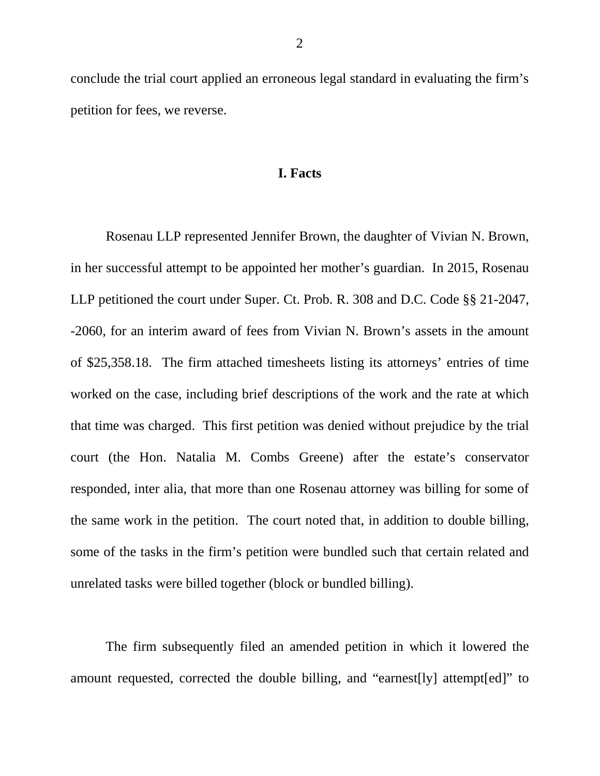conclude the trial court applied an erroneous legal standard in evaluating the firm's petition for fees, we reverse.

## **I. Facts**

Rosenau LLP represented Jennifer Brown, the daughter of Vivian N. Brown, in her successful attempt to be appointed her mother's guardian. In 2015, Rosenau LLP petitioned the court under Super. Ct. Prob. R. 308 and D.C. Code §§ 21-2047, -2060, for an interim award of fees from Vivian N. Brown's assets in the amount of \$25,358.18. The firm attached timesheets listing its attorneys' entries of time worked on the case, including brief descriptions of the work and the rate at which that time was charged. This first petition was denied without prejudice by the trial court (the Hon. Natalia M. Combs Greene) after the estate's conservator responded, inter alia, that more than one Rosenau attorney was billing for some of the same work in the petition. The court noted that, in addition to double billing, some of the tasks in the firm's petition were bundled such that certain related and unrelated tasks were billed together (block or bundled billing).

The firm subsequently filed an amended petition in which it lowered the amount requested, corrected the double billing, and "earnest[ly] attempt[ed]" to

2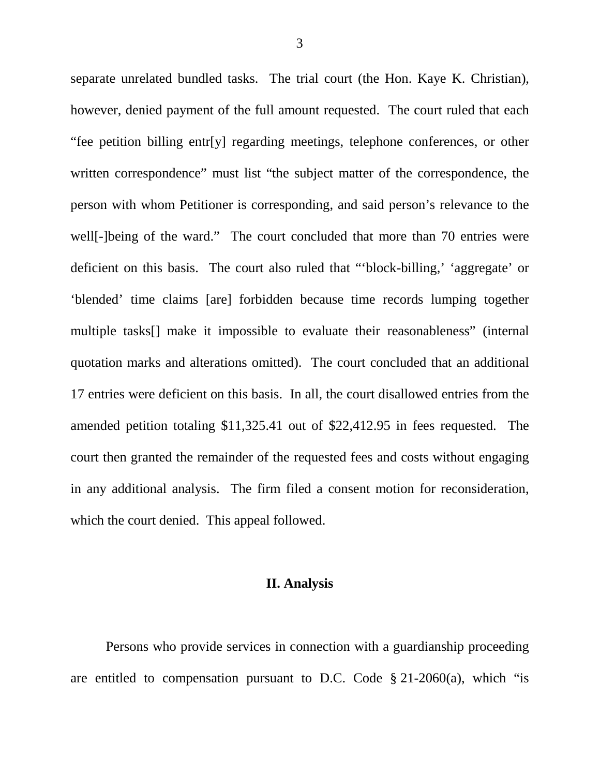separate unrelated bundled tasks. The trial court (the Hon. Kaye K. Christian), however, denied payment of the full amount requested. The court ruled that each "fee petition billing entr[y] regarding meetings, telephone conferences, or other written correspondence" must list "the subject matter of the correspondence, the person with whom Petitioner is corresponding, and said person's relevance to the well<sup>[</sup>-]being of the ward." The court concluded that more than 70 entries were deficient on this basis. The court also ruled that "'block-billing,' 'aggregate' or 'blended' time claims [are] forbidden because time records lumping together multiple tasks[] make it impossible to evaluate their reasonableness" (internal quotation marks and alterations omitted). The court concluded that an additional 17 entries were deficient on this basis. In all, the court disallowed entries from the amended petition totaling \$11,325.41 out of \$22,412.95 in fees requested. The court then granted the remainder of the requested fees and costs without engaging in any additional analysis. The firm filed a consent motion for reconsideration, which the court denied. This appeal followed.

## **II. Analysis**

Persons who provide services in connection with a guardianship proceeding are entitled to compensation pursuant to D.C. Code  $\S 21-2060(a)$ , which "is

3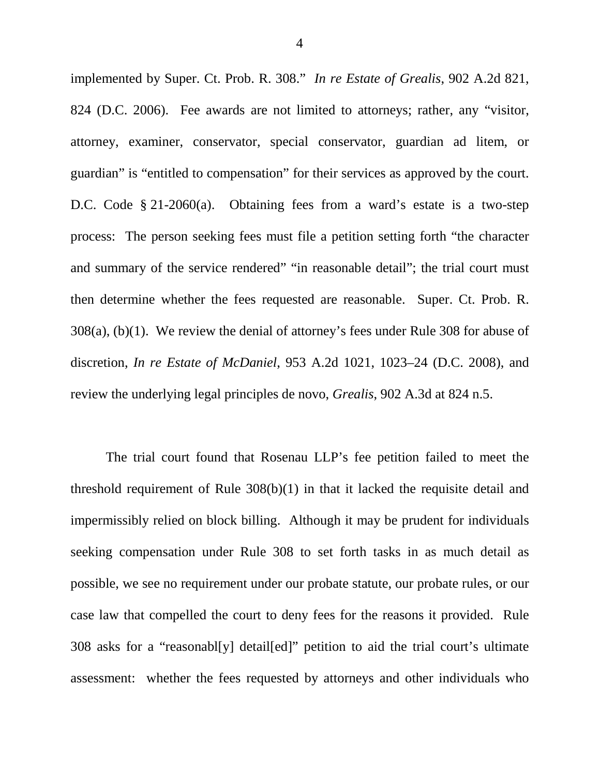implemented by Super. Ct. Prob. R. 308." *In re Estate of Grealis*, 902 A.2d 821, 824 (D.C. 2006). Fee awards are not limited to attorneys; rather, any "visitor, attorney, examiner, conservator, special conservator, guardian ad litem, or guardian" is "entitled to compensation" for their services as approved by the court. D.C. Code § 21-2060(a). Obtaining fees from a ward's estate is a two-step process: The person seeking fees must file a petition setting forth "the character and summary of the service rendered" "in reasonable detail"; the trial court must then determine whether the fees requested are reasonable. Super. Ct. Prob. R. 308(a), (b)(1). We review the denial of attorney's fees under Rule 308 for abuse of discretion, *In re Estate of McDaniel*, 953 A.2d 1021, 1023–24 (D.C. 2008), and review the underlying legal principles de novo, *Grealis*, 902 A.3d at 824 n.5.

The trial court found that Rosenau LLP's fee petition failed to meet the threshold requirement of Rule 308(b)(1) in that it lacked the requisite detail and impermissibly relied on block billing. Although it may be prudent for individuals seeking compensation under Rule 308 to set forth tasks in as much detail as possible, we see no requirement under our probate statute, our probate rules, or our case law that compelled the court to deny fees for the reasons it provided. Rule 308 asks for a "reasonabl[y] detail[ed]" petition to aid the trial court's ultimate assessment: whether the fees requested by attorneys and other individuals who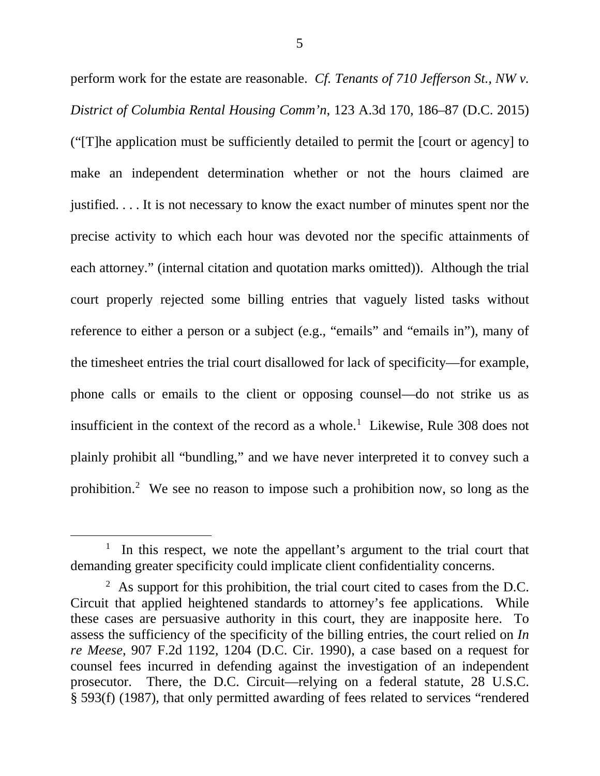perform work for the estate are reasonable. *Cf. Tenants of 710 Jefferson St., NW v. District of Columbia Rental Housing Comm'n*, 123 A.3d 170, 186–87 (D.C. 2015) ("[T]he application must be sufficiently detailed to permit the [court or agency] to make an independent determination whether or not the hours claimed are justified. . . . It is not necessary to know the exact number of minutes spent nor the precise activity to which each hour was devoted nor the specific attainments of each attorney." (internal citation and quotation marks omitted)). Although the trial court properly rejected some billing entries that vaguely listed tasks without reference to either a person or a subject (e.g., "emails" and "emails in"), many of the timesheet entries the trial court disallowed for lack of specificity—for example, phone calls or emails to the client or opposing counsel—do not strike us as insufficient in the context of the record as a whole. [1](#page-4-0) Likewise, Rule 308 does not plainly prohibit all "bundling," and we have never interpreted it to convey such a prohibition.[2](#page-4-1) We see no reason to impose such a prohibition now, so long as the

<span id="page-4-0"></span><sup>&</sup>lt;u>1</u>  $\frac{1}{1}$  In this respect, we note the appellant's argument to the trial court that demanding greater specificity could implicate client confidentiality concerns.

<span id="page-4-1"></span> $2$  As support for this prohibition, the trial court cited to cases from the D.C. Circuit that applied heightened standards to attorney's fee applications. While these cases are persuasive authority in this court, they are inapposite here. To assess the sufficiency of the specificity of the billing entries, the court relied on *In re Meese*, 907 F.2d 1192, 1204 (D.C. Cir. 1990), a case based on a request for counsel fees incurred in defending against the investigation of an independent prosecutor. There, the D.C. Circuit—relying on a federal statute, 28 U.S.C. § 593(f) (1987), that only permitted awarding of fees related to services "rendered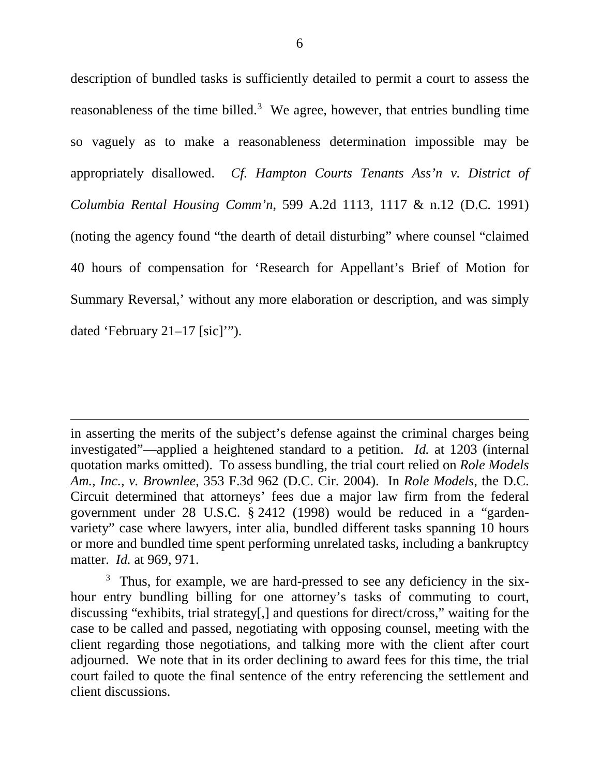description of bundled tasks is sufficiently detailed to permit a court to assess the reasonableness of the time billed.<sup>[3](#page-5-0)</sup> We agree, however, that entries bundling time so vaguely as to make a reasonableness determination impossible may be appropriately disallowed. *Cf. Hampton Courts Tenants Ass'n v. District of Columbia Rental Housing Comm'n*, 599 A.2d 1113, 1117 & n.12 (D.C. 1991) (noting the agency found "the dearth of detail disturbing" where counsel "claimed 40 hours of compensation for 'Research for Appellant's Brief of Motion for Summary Reversal,' without any more elaboration or description, and was simply dated 'February 21–17 [sic]'").

in asserting the merits of the subject's defense against the criminal charges being investigated"—applied a heightened standard to a petition. *Id.* at 1203 (internal quotation marks omitted). To assess bundling, the trial court relied on *Role Models Am., Inc., v. Brownlee*, 353 F.3d 962 (D.C. Cir. 2004). In *Role Models*, the D.C. Circuit determined that attorneys' fees due a major law firm from the federal government under 28 U.S.C. § 2412 (1998) would be reduced in a "gardenvariety" case where lawyers, inter alia, bundled different tasks spanning 10 hours or more and bundled time spent performing unrelated tasks, including a bankruptcy matter. *Id.* at 969, 971.

 $\overline{a}$ 

<span id="page-5-0"></span> $3$  Thus, for example, we are hard-pressed to see any deficiency in the sixhour entry bundling billing for one attorney's tasks of commuting to court, discussing "exhibits, trial strategy[,] and questions for direct/cross," waiting for the case to be called and passed, negotiating with opposing counsel, meeting with the client regarding those negotiations, and talking more with the client after court adjourned. We note that in its order declining to award fees for this time, the trial court failed to quote the final sentence of the entry referencing the settlement and client discussions.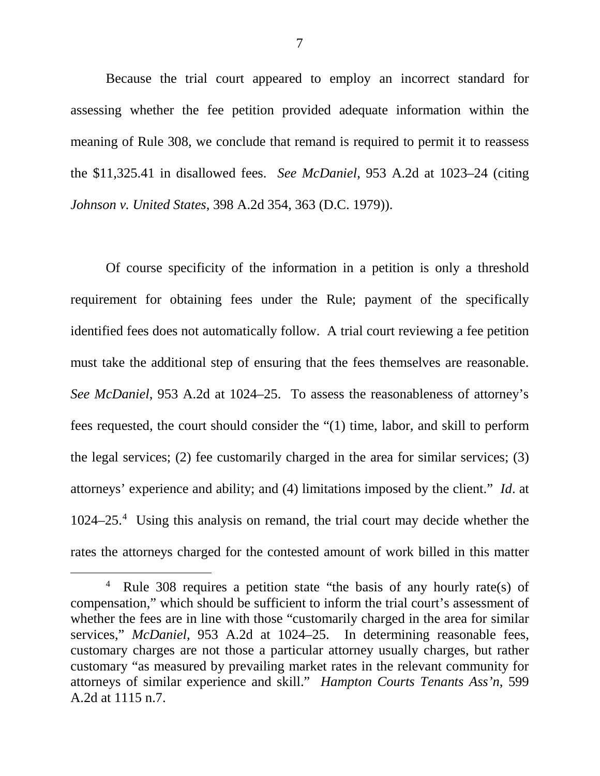Because the trial court appeared to employ an incorrect standard for assessing whether the fee petition provided adequate information within the meaning of Rule 308, we conclude that remand is required to permit it to reassess the \$11,325.41 in disallowed fees. *See McDaniel*, 953 A.2d at 1023–24 (citing *Johnson v. United States*, 398 A.2d 354, 363 (D.C. 1979)).

Of course specificity of the information in a petition is only a threshold requirement for obtaining fees under the Rule; payment of the specifically identified fees does not automatically follow. A trial court reviewing a fee petition must take the additional step of ensuring that the fees themselves are reasonable. *See McDaniel*, 953 A.2d at 1024–25. To assess the reasonableness of attorney's fees requested, the court should consider the "(1) time, labor, and skill to perform the legal services; (2) fee customarily charged in the area for similar services; (3) attorneys' experience and ability; and (4) limitations imposed by the client." *Id*. at 1024–25.[4](#page-6-0) Using this analysis on remand, the trial court may decide whether the rates the attorneys charged for the contested amount of work billed in this matter

<span id="page-6-0"></span> $\overline{4}$ <sup>4</sup> Rule 308 requires a petition state "the basis of any hourly rate(s) of compensation," which should be sufficient to inform the trial court's assessment of whether the fees are in line with those "customarily charged in the area for similar services," *McDaniel*, 953 A.2d at 1024–25. In determining reasonable fees, customary charges are not those a particular attorney usually charges, but rather customary "as measured by prevailing market rates in the relevant community for attorneys of similar experience and skill." *Hampton Courts Tenants Ass'n*, 599 A.2d at 1115 n.7.